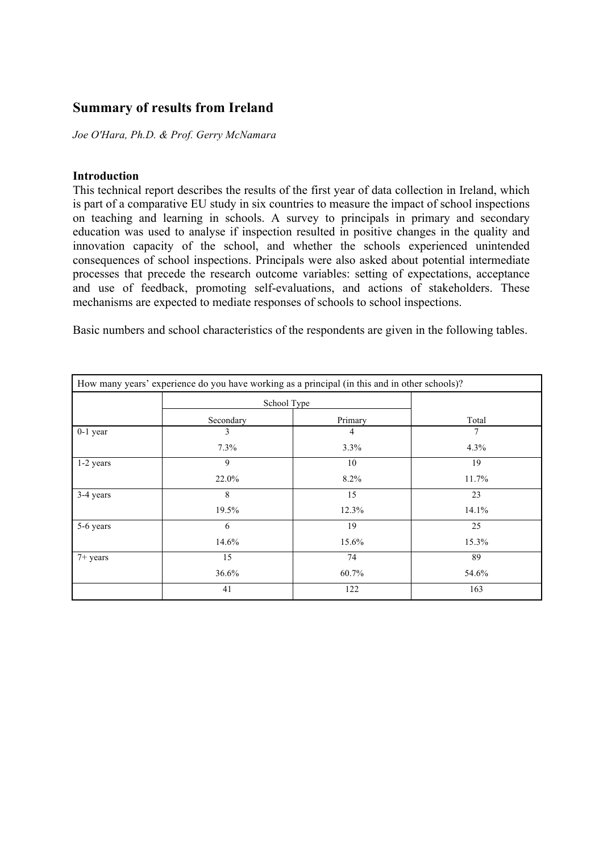# **Summary of results from Ireland**

*Joe O'Hara, Ph.D. & Prof. Gerry McNamara*

#### **Introduction**

This technical report describes the results of the first year of data collection in Ireland, which is part of a comparative EU study in six countries to measure the impact of school inspections on teaching and learning in schools. A survey to principals in primary and secondary education was used to analyse if inspection resulted in positive changes in the quality and innovation capacity of the school, and whether the schools experienced unintended consequences of school inspections. Principals were also asked about potential intermediate processes that precede the research outcome variables: setting of expectations, acceptance and use of feedback, promoting self-evaluations, and actions of stakeholders. These mechanisms are expected to mediate responses of schools to school inspections.

Basic numbers and school characteristics of the respondents are given in the following tables.

| How many years' experience do you have working as a principal (in this and in other schools)? |             |                |       |  |
|-----------------------------------------------------------------------------------------------|-------------|----------------|-------|--|
|                                                                                               | School Type |                |       |  |
|                                                                                               | Secondary   | Primary        | Total |  |
| $0-1$ year                                                                                    | 3           | $\overline{4}$ | 7     |  |
|                                                                                               | 7.3%        | 3.3%           | 4.3%  |  |
| 1-2 years                                                                                     | 9           | 10             | 19    |  |
|                                                                                               | 22.0%       | 8.2%           | 11.7% |  |
| 3-4 years                                                                                     | 8           | 15             | 23    |  |
|                                                                                               | 19.5%       | 12.3%          | 14.1% |  |
| 5-6 years                                                                                     | 6           | 19             | 25    |  |
|                                                                                               | 14.6%       | 15.6%          | 15.3% |  |
| $7+$ years                                                                                    | 15          | 74             | 89    |  |
|                                                                                               | 36.6%       | 60.7%          | 54.6% |  |
|                                                                                               | 41          | 122            | 163   |  |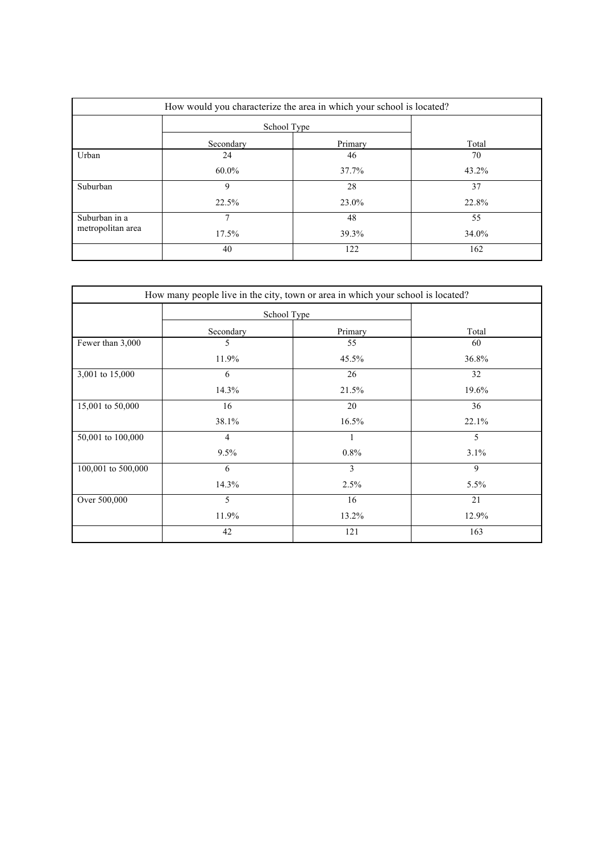| How would you characterize the area in which your school is located? |             |         |       |  |
|----------------------------------------------------------------------|-------------|---------|-------|--|
|                                                                      | School Type |         |       |  |
|                                                                      | Secondary   | Primary | Total |  |
| Urban                                                                | 24          | 46      | 70    |  |
|                                                                      | $60.0\%$    | 37.7%   | 43.2% |  |
| Suburban                                                             | 9           | 28      | 37    |  |
|                                                                      | 22.5%       | 23.0%   | 22.8% |  |
| Suburban in a                                                        | 7           | 48      | 55    |  |
| metropolitan area                                                    | $17.5\%$    | 39.3%   | 34.0% |  |
|                                                                      | 40          | 122     | 162   |  |

|                    |                | How many people live in the city, town or area in which your school is located? |       |
|--------------------|----------------|---------------------------------------------------------------------------------|-------|
|                    |                | School Type                                                                     |       |
|                    | Secondary      | Primary                                                                         | Total |
| Fewer than 3,000   | 5              | 55                                                                              | 60    |
|                    | 11.9%          | 45.5%                                                                           | 36.8% |
| 3,001 to 15,000    | 6              | 26                                                                              | 32    |
|                    | 14.3%          | 21.5%                                                                           | 19.6% |
| 15,001 to 50,000   | 16             | 20                                                                              | 36    |
|                    | 38.1%          | 16.5%                                                                           | 22.1% |
| 50,001 to 100,000  | $\overline{4}$ | $\mathbf{1}$                                                                    | 5     |
|                    | 9.5%           | $0.8\%$                                                                         | 3.1%  |
| 100,001 to 500,000 | 6              | 3                                                                               | 9     |
|                    | 14.3%          | 2.5%                                                                            | 5.5%  |
| Over 500,000       | 5              | 16                                                                              | 21    |
|                    | 11.9%          | 13.2%                                                                           | 12.9% |
|                    | 42             | 121                                                                             | 163   |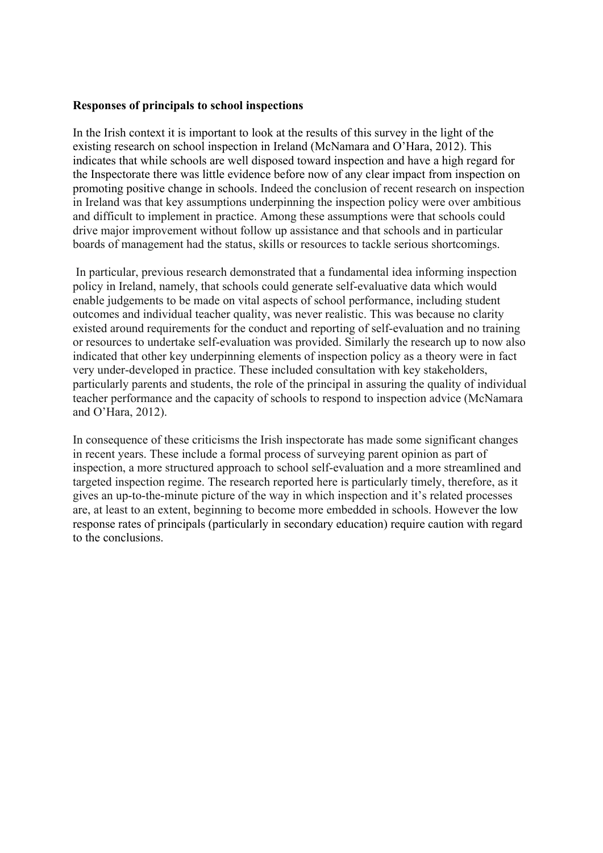#### **Responses of principals to school inspections**

In the Irish context it is important to look at the results of this survey in the light of the existing research on school inspection in Ireland (McNamara and O'Hara, 2012). This indicates that while schools are well disposed toward inspection and have a high regard for the Inspectorate there was little evidence before now of any clear impact from inspection on promoting positive change in schools. Indeed the conclusion of recent research on inspection in Ireland was that key assumptions underpinning the inspection policy were over ambitious and difficult to implement in practice. Among these assumptions were that schools could drive major improvement without follow up assistance and that schools and in particular boards of management had the status, skills or resources to tackle serious shortcomings.

In particular, previous research demonstrated that a fundamental idea informing inspection policy in Ireland, namely, that schools could generate self-evaluative data which would enable judgements to be made on vital aspects of school performance, including student outcomes and individual teacher quality, was never realistic. This was because no clarity existed around requirements for the conduct and reporting of self-evaluation and no training or resources to undertake self-evaluation was provided. Similarly the research up to now also indicated that other key underpinning elements of inspection policy as a theory were in fact very under-developed in practice. These included consultation with key stakeholders, particularly parents and students, the role of the principal in assuring the quality of individual teacher performance and the capacity of schools to respond to inspection advice (McNamara and O'Hara, 2012).

In consequence of these criticisms the Irish inspectorate has made some significant changes in recent years. These include a formal process of surveying parent opinion as part of inspection, a more structured approach to school self-evaluation and a more streamlined and targeted inspection regime. The research reported here is particularly timely, therefore, as it gives an up-to-the-minute picture of the way in which inspection and it's related processes are, at least to an extent, beginning to become more embedded in schools. However the low response rates of principals (particularly in secondary education) require caution with regard to the conclusions.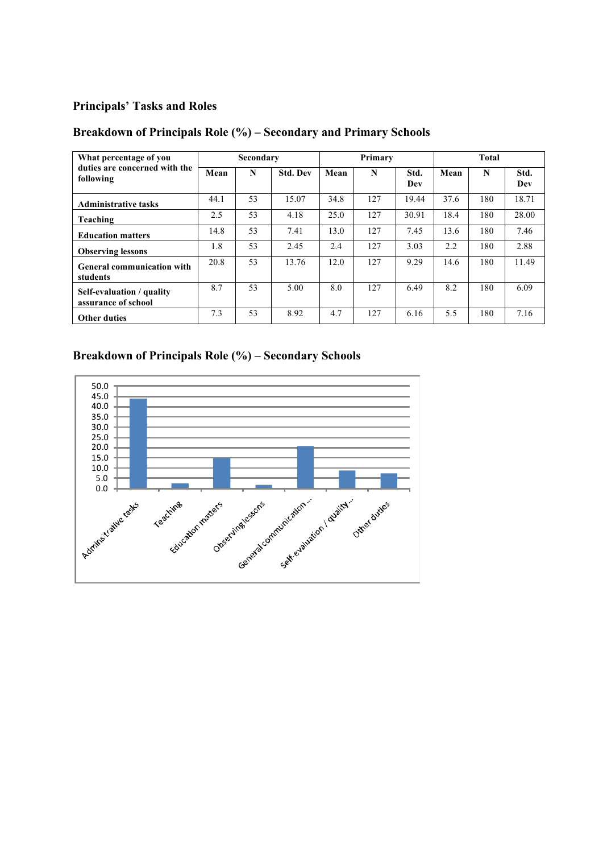#### **Principals' Tasks and Roles**

## **Breakdown of Principals Role (%) – Secondary and Primary Schools**

| What percentage of you                           |      | Secondary |                 |      | Primary |             |      | Total |             |
|--------------------------------------------------|------|-----------|-----------------|------|---------|-------------|------|-------|-------------|
| duties are concerned with the<br>following       | Mean | N         | <b>Std. Dev</b> | Mean | N       | Std.<br>Dev | Mean | N     | Std.<br>Dev |
| <b>Administrative tasks</b>                      | 44.1 | 53        | 15.07           | 34.8 | 127     | 19.44       | 37.6 | 180   | 18.71       |
| Teaching                                         | 2.5  | 53        | 4.18            | 25.0 | 127     | 30.91       | 18.4 | 180   | 28.00       |
| <b>Education matters</b>                         | 14.8 | 53        | 7.41            | 13.0 | 127     | 7.45        | 13.6 | 180   | 7.46        |
| <b>Observing lessons</b>                         | 1.8  | 53        | 2.45            | 2.4  | 127     | 3.03        | 2.2  | 180   | 2.88        |
| <b>General communication with</b><br>students    | 20.8 | 53        | 13.76           | 12.0 | 127     | 9.29        | 14.6 | 180   | 11.49       |
| Self-evaluation / quality<br>assurance of school | 8.7  | 53        | 5.00            | 8.0  | 127     | 6.49        | 8.2  | 180   | 6.09        |
| <b>Other duties</b>                              | 7.3  | 53        | 8.92            | 4.7  | 127     | 6.16        | 5.5  | 180   | 7.16        |

# **Breakdown of Principals Role (%) – Secondary Schools**

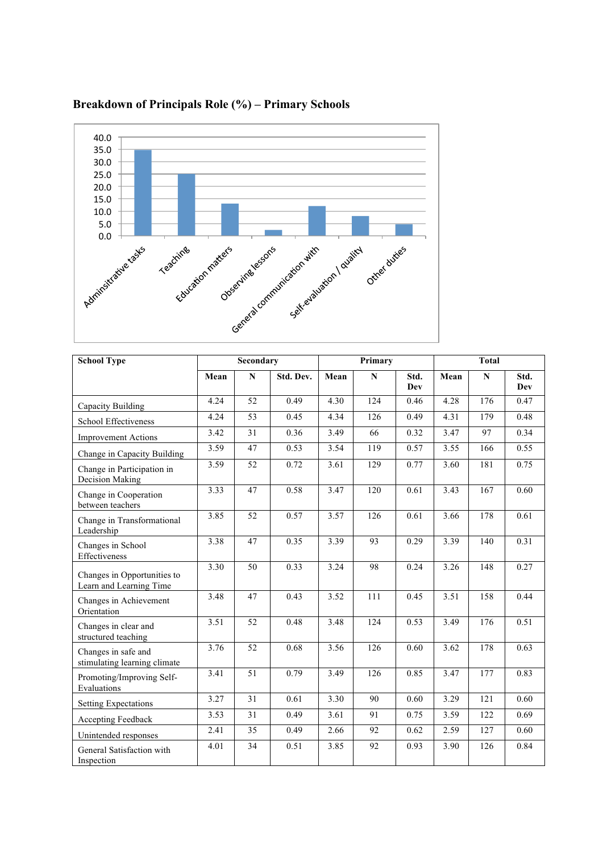

## **Breakdown of Principals Role (%) – Primary Schools**

| <b>School Type</b>                                     |      | Secondary       |           | Primary |           | <b>Total</b> |                   |             |             |
|--------------------------------------------------------|------|-----------------|-----------|---------|-----------|--------------|-------------------|-------------|-------------|
|                                                        | Mean | $\mathbf N$     | Std. Dev. | Mean    | ${\bf N}$ | Std.<br>Dev  | Mean              | $\mathbf N$ | Std.<br>Dev |
| Capacity Building                                      | 4.24 | 52              | 0.49      | 4.30    | 124       | 0.46         | 4.28              | 176         | 0.47        |
| School Effectiveness                                   | 4.24 | 53              | 0.45      | 4.34    | 126       | 0.49         | 4.31              | 179         | 0.48        |
| <b>Improvement Actions</b>                             | 3.42 | 31              | 0.36      | 3.49    | 66        | 0.32         | 3.47              | 97          | 0.34        |
| Change in Capacity Building                            | 3.59 | 47              | 0.53      | 3.54    | 119       | 0.57         | 3.55              | 166         | 0.55        |
| Change in Participation in<br>Decision Making          | 3.59 | 52              | 0.72      | 3.61    | 129       | 0.77         | 3.60              | 181         | 0.75        |
| Change in Cooperation<br>between teachers              | 3.33 | 47              | 0.58      | 3.47    | 120       | 0.61         | 3.43              | 167         | 0.60        |
| Change in Transformational<br>Leadership               | 3.85 | 52              | 0.57      | 3.57    | 126       | 0.61         | 3.66              | 178         | 0.61        |
| Changes in School<br>Effectiveness                     | 3.38 | 47              | 0.35      | 3.39    | 93        | 0.29         | 3.39              | 140         | 0.31        |
| Changes in Opportunities to<br>Learn and Learning Time | 3.30 | 50              | 0.33      | 3.24    | 98        | 0.24         | $\overline{3.26}$ | 148         | 0.27        |
| Changes in Achievement<br>Orientation                  | 3.48 | 47              | 0.43      | 3.52    | 111       | 0.45         | 3.51              | 158         | 0.44        |
| Changes in clear and<br>structured teaching            | 3.51 | 52              | 0.48      | 3.48    | 124       | 0.53         | 3.49              | 176         | 0.51        |
| Changes in safe and<br>stimulating learning climate    | 3.76 | 52              | 0.68      | 3.56    | 126       | 0.60         | 3.62              | 178         | 0.63        |
| Promoting/Improving Self-<br>Evaluations               | 3.41 | $\overline{51}$ | 0.79      | 3.49    | 126       | 0.85         | 3.47              | 177         | 0.83        |
| <b>Setting Expectations</b>                            | 3.27 | 31              | 0.61      | 3.30    | 90        | 0.60         | 3.29              | 121         | 0.60        |
| Accepting Feedback                                     | 3.53 | 31              | 0.49      | 3.61    | 91        | 0.75         | 3.59              | 122         | 0.69        |
| Unintended responses                                   | 2.41 | 35              | 0.49      | 2.66    | 92        | 0.62         | 2.59              | 127         | 0.60        |
| General Satisfaction with<br>Inspection                | 4.01 | 34              | 0.51      | 3.85    | 92        | 0.93         | 3.90              | 126         | 0.84        |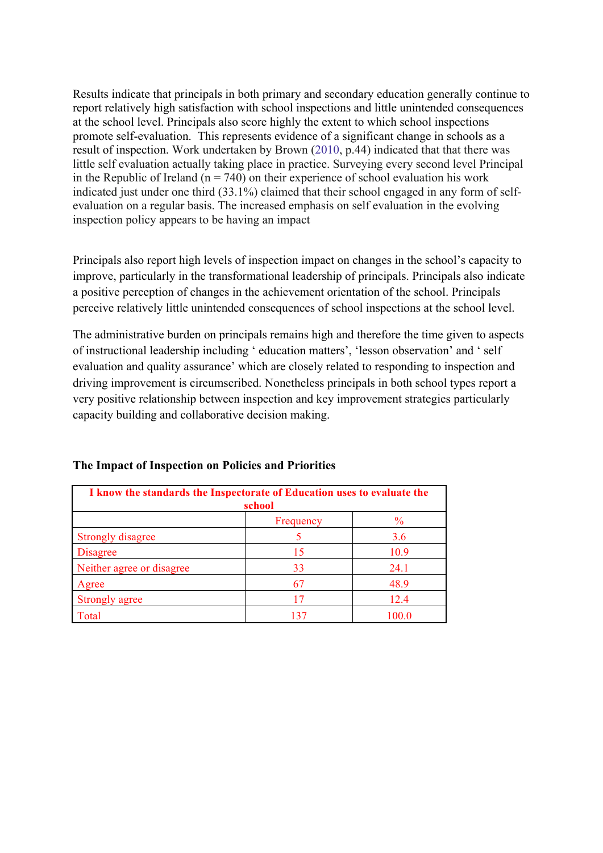Results indicate that principals in both primary and secondary education generally continue to report relatively high satisfaction with school inspections and little unintended consequences at the school level. Principals also score highly the extent to which school inspections promote self-evaluation. This represents evidence of a significant change in schools as a result of inspection. Work undertaken by Brown (2010, p.44) indicated that that there was little self evaluation actually taking place in practice. Surveying every second level Principal in the Republic of Ireland ( $n = 740$ ) on their experience of school evaluation his work indicated just under one third (33.1%) claimed that their school engaged in any form of selfevaluation on a regular basis. The increased emphasis on self evaluation in the evolving inspection policy appears to be having an impact

Principals also report high levels of inspection impact on changes in the school's capacity to improve, particularly in the transformational leadership of principals. Principals also indicate a positive perception of changes in the achievement orientation of the school. Principals perceive relatively little unintended consequences of school inspections at the school level.

The administrative burden on principals remains high and therefore the time given to aspects of instructional leadership including ' education matters', 'lesson observation' and ' self evaluation and quality assurance' which are closely related to responding to inspection and driving improvement is circumscribed. Nonetheless principals in both school types report a very positive relationship between inspection and key improvement strategies particularly capacity building and collaborative decision making.

| I know the standards the Inspectorate of Education uses to evaluate the<br>school |     |       |  |  |  |  |
|-----------------------------------------------------------------------------------|-----|-------|--|--|--|--|
| $\frac{0}{0}$<br>Frequency                                                        |     |       |  |  |  |  |
| Strongly disagree                                                                 |     | 3.6   |  |  |  |  |
| <b>Disagree</b>                                                                   | 15  | 10.9  |  |  |  |  |
| Neither agree or disagree                                                         | 33  | 24.1  |  |  |  |  |
| Agree                                                                             | 67  | 48.9  |  |  |  |  |
| Strongly agree                                                                    | 17  | 12.4  |  |  |  |  |
| Total                                                                             | 137 | 100.0 |  |  |  |  |

#### **The Impact of Inspection on Policies and Priorities**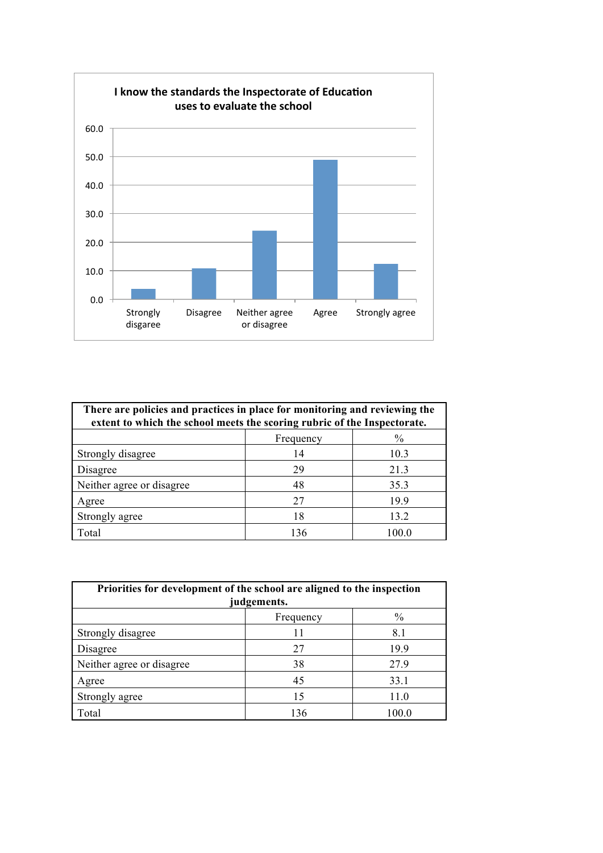

| There are policies and practices in place for monitoring and reviewing the<br>extent to which the school meets the scoring rubric of the Inspectorate. |     |       |  |  |  |
|--------------------------------------------------------------------------------------------------------------------------------------------------------|-----|-------|--|--|--|
| $\frac{0}{0}$<br>Frequency                                                                                                                             |     |       |  |  |  |
| Strongly disagree                                                                                                                                      | 14  | 10.3  |  |  |  |
| Disagree                                                                                                                                               | 29  | 21.3  |  |  |  |
| Neither agree or disagree                                                                                                                              | 48  | 35.3  |  |  |  |
| Agree                                                                                                                                                  | 27  | 19.9  |  |  |  |
| Strongly agree                                                                                                                                         | 18  | 13.2  |  |  |  |
| Total                                                                                                                                                  | 136 | 100 O |  |  |  |

| Priorities for development of the school are aligned to the inspection<br>judgements. |     |       |  |  |  |
|---------------------------------------------------------------------------------------|-----|-------|--|--|--|
| $\%$<br>Frequency                                                                     |     |       |  |  |  |
| Strongly disagree                                                                     |     | 8.1   |  |  |  |
| Disagree                                                                              | 27  | 19.9  |  |  |  |
| Neither agree or disagree                                                             | 38  | 27.9  |  |  |  |
| Agree                                                                                 | 45  | 33.1  |  |  |  |
| Strongly agree                                                                        | 15  | 11.0  |  |  |  |
| Total                                                                                 | 136 | 100.0 |  |  |  |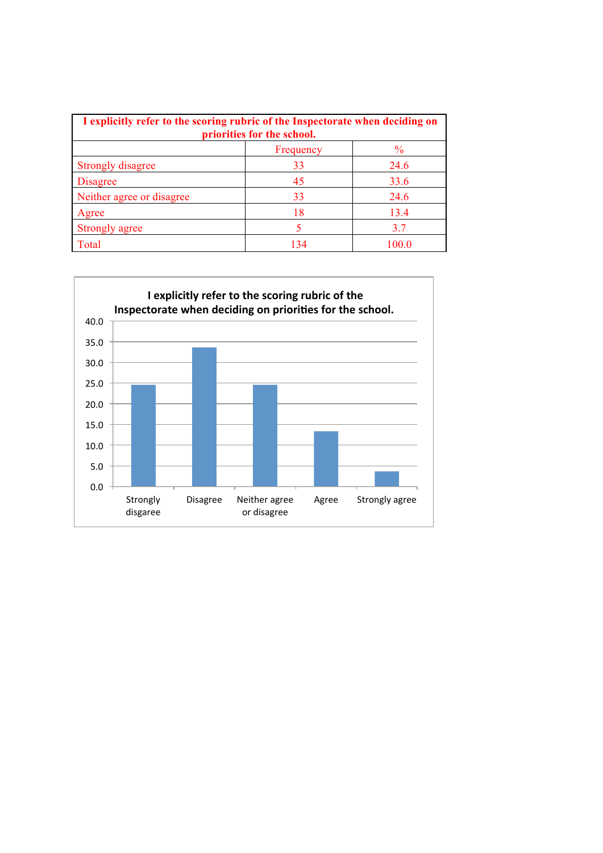| I explicitly refer to the scoring rubric of the Inspectorate when deciding on<br>priorities for the school. |     |       |  |  |  |
|-------------------------------------------------------------------------------------------------------------|-----|-------|--|--|--|
| $\frac{0}{0}$<br>Frequency                                                                                  |     |       |  |  |  |
| Strongly disagree                                                                                           | 33  | 24.6  |  |  |  |
| <b>Disagree</b>                                                                                             | 45  | 33.6  |  |  |  |
| Neither agree or disagree                                                                                   | 33  | 24.6  |  |  |  |
| Agree                                                                                                       | 18  | 13.4  |  |  |  |
| Strongly agree                                                                                              |     | 37    |  |  |  |
| Total                                                                                                       | 134 | 100 0 |  |  |  |

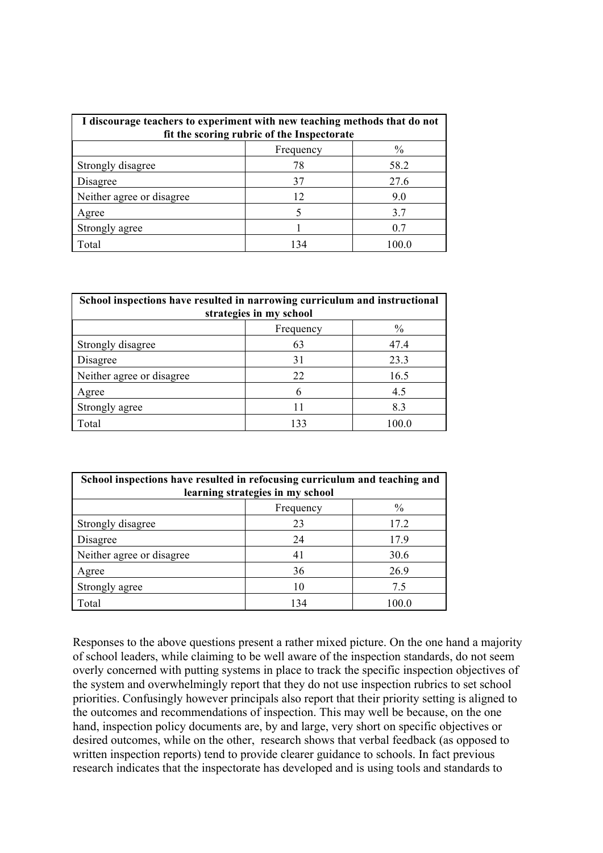| I discourage teachers to experiment with new teaching methods that do not<br>fit the scoring rubric of the Inspectorate |     |       |  |  |  |
|-------------------------------------------------------------------------------------------------------------------------|-----|-------|--|--|--|
| $\%$<br>Frequency                                                                                                       |     |       |  |  |  |
| Strongly disagree                                                                                                       | 78  | 58.2  |  |  |  |
| Disagree                                                                                                                | 37  | 27.6  |  |  |  |
| Neither agree or disagree                                                                                               | 12  | 9.0   |  |  |  |
| Agree                                                                                                                   |     | 3.7   |  |  |  |
| Strongly agree                                                                                                          |     | 0.7   |  |  |  |
| Total                                                                                                                   | 134 | 100 0 |  |  |  |

| School inspections have resulted in narrowing curriculum and instructional<br>strategies in my school |     |       |  |  |  |
|-------------------------------------------------------------------------------------------------------|-----|-------|--|--|--|
| $\frac{0}{0}$<br>Frequency                                                                            |     |       |  |  |  |
| Strongly disagree                                                                                     | 63  | 47.4  |  |  |  |
| Disagree                                                                                              | 31  | 23.3  |  |  |  |
| Neither agree or disagree                                                                             | 22  | 16.5  |  |  |  |
| Agree                                                                                                 | 6   | 4.5   |  |  |  |
| Strongly agree                                                                                        | 11  | 8.3   |  |  |  |
| Total                                                                                                 | 133 | 100.0 |  |  |  |

| School inspections have resulted in refocusing curriculum and teaching and<br>learning strategies in my school |     |       |  |  |  |
|----------------------------------------------------------------------------------------------------------------|-----|-------|--|--|--|
| $\frac{0}{0}$<br>Frequency                                                                                     |     |       |  |  |  |
| Strongly disagree                                                                                              | 23  | 17.2  |  |  |  |
| Disagree                                                                                                       | 24  | 17.9  |  |  |  |
| Neither agree or disagree                                                                                      | 41  | 30.6  |  |  |  |
| Agree                                                                                                          | 36  | 26.9  |  |  |  |
| Strongly agree                                                                                                 | 10  | 7.5   |  |  |  |
| Total                                                                                                          | 134 | 100.0 |  |  |  |

Responses to the above questions present a rather mixed picture. On the one hand a majority of school leaders, while claiming to be well aware of the inspection standards, do not seem overly concerned with putting systems in place to track the specific inspection objectives of the system and overwhelmingly report that they do not use inspection rubrics to set school priorities. Confusingly however principals also report that their priority setting is aligned to the outcomes and recommendations of inspection. This may well be because, on the one hand, inspection policy documents are, by and large, very short on specific objectives or desired outcomes, while on the other, research shows that verbal feedback (as opposed to written inspection reports) tend to provide clearer guidance to schools. In fact previous research indicates that the inspectorate has developed and is using tools and standards to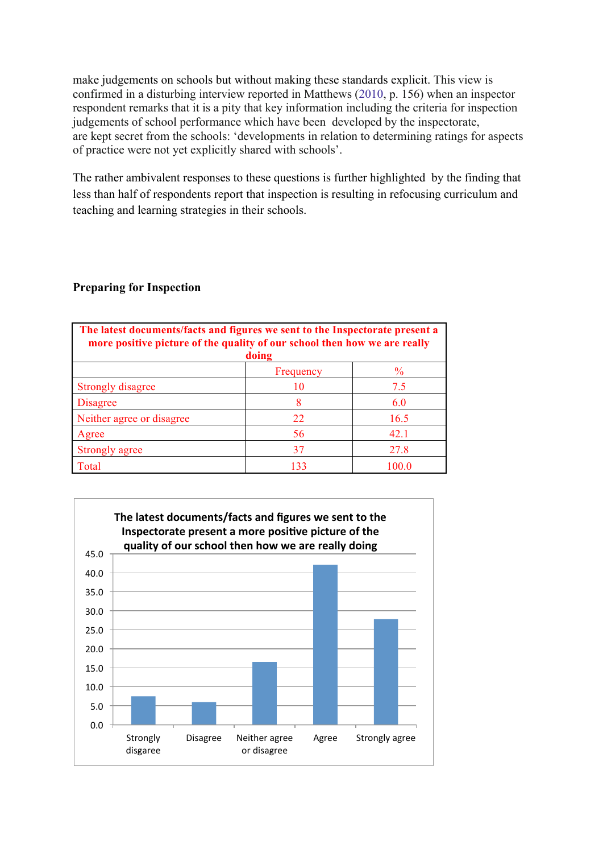make judgements on schools but without making these standards explicit. This view is confirmed in a disturbing interview reported in Matthews (2010, p. 156) when an inspector respondent remarks that it is a pity that key information including the criteria for inspection judgements of school performance which have been developed by the inspectorate, are kept secret from the schools: 'developments in relation to determining ratings for aspects of practice were not yet explicitly shared with schools'.

The rather ambivalent responses to these questions is further highlighted by the finding that less than half of respondents report that inspection is resulting in refocusing curriculum and teaching and learning strategies in their schools.

## **Preparing for Inspection**

| The latest documents/facts and figures we sent to the Inspectorate present a<br>more positive picture of the quality of our school then how we are really<br>doing |           |               |
|--------------------------------------------------------------------------------------------------------------------------------------------------------------------|-----------|---------------|
|                                                                                                                                                                    | Frequency | $\frac{0}{0}$ |
| Strongly disagree                                                                                                                                                  | 10        | 7.5           |
| <b>Disagree</b>                                                                                                                                                    | 8         | 6.0           |
| Neither agree or disagree                                                                                                                                          | 22        | 16.5          |
| Agree                                                                                                                                                              | 56        | 42.1          |
| Strongly agree                                                                                                                                                     | 37        | 27.8          |
| Total                                                                                                                                                              | 133       | 100.0         |

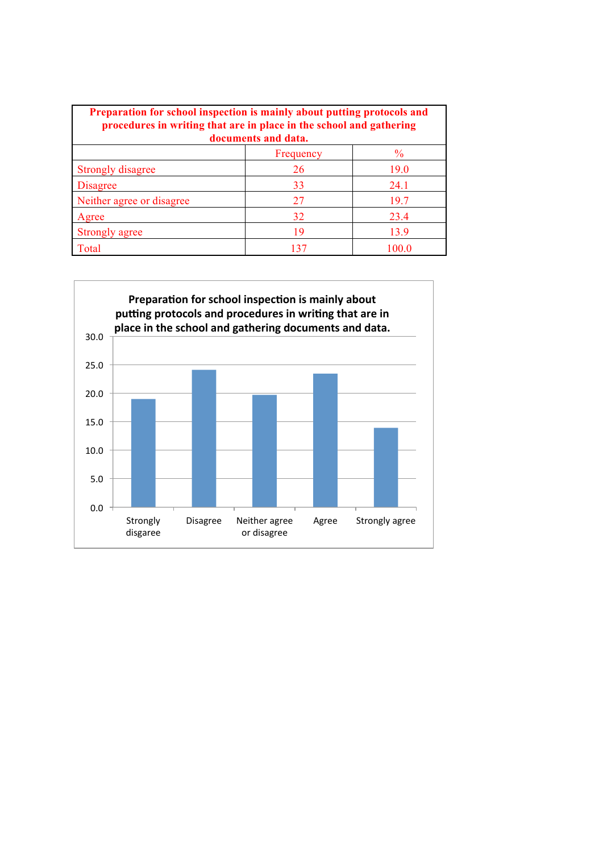| Preparation for school inspection is mainly about putting protocols and<br>procedures in writing that are in place in the school and gathering<br>documents and data. |           |               |
|-----------------------------------------------------------------------------------------------------------------------------------------------------------------------|-----------|---------------|
|                                                                                                                                                                       | Frequency | $\frac{6}{9}$ |
| <b>Strongly disagree</b>                                                                                                                                              | 26        | 19.0          |
| <b>Disagree</b>                                                                                                                                                       | 33        | 24.1          |
| Neither agree or disagree                                                                                                                                             | 27        | 19.7          |
| Agree                                                                                                                                                                 | 32        | 23.4          |
| Strongly agree                                                                                                                                                        | 19        | 13.9          |
| Total                                                                                                                                                                 | 137       | 1000          |

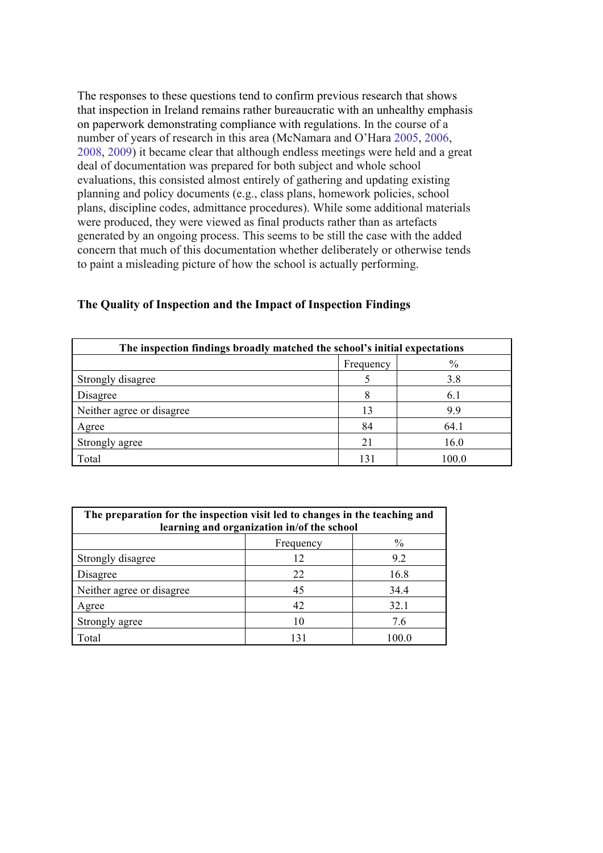The responses to these questions tend to confirm previous research that shows that inspection in Ireland remains rather bureaucratic with an unhealthy emphasis on paperwork demonstrating compliance with regulations. In the course of a number of years of research in this area (McNamara and O'Hara 2005, 2006, 2008, 2009) it became clear that although endless meetings were held and a great deal of documentation was prepared for both subject and whole school evaluations, this consisted almost entirely of gathering and updating existing planning and policy documents (e.g., class plans, homework policies, school plans, discipline codes, admittance procedures). While some additional materials were produced, they were viewed as final products rather than as artefacts generated by an ongoing process. This seems to be still the case with the added concern that much of this documentation whether deliberately or otherwise tends to paint a misleading picture of how the school is actually performing.

| The inspection findings broadly matched the school's initial expectations |           |       |
|---------------------------------------------------------------------------|-----------|-------|
|                                                                           | Frequency | $\%$  |
| Strongly disagree                                                         |           | 3.8   |
| Disagree                                                                  |           | 6.1   |
| Neither agree or disagree                                                 | 13        | 9.9   |
| Agree                                                                     | 84        | 64.1  |
| Strongly agree                                                            | 21        | 16.0  |
| Total                                                                     | 131       | 100.0 |

#### **The Quality of Inspection and the Impact of Inspection Findings**

| The preparation for the inspection visit led to changes in the teaching and<br>learning and organization in/of the school |     |       |
|---------------------------------------------------------------------------------------------------------------------------|-----|-------|
| $\%$<br>Frequency                                                                                                         |     |       |
| Strongly disagree                                                                                                         | 12  | 9.2   |
| Disagree                                                                                                                  | 22  | 16.8  |
| Neither agree or disagree                                                                                                 | 45  | 34.4  |
| Agree                                                                                                                     | 42  | 32.1  |
| Strongly agree                                                                                                            | 10  | 7.6   |
| Total                                                                                                                     | 131 | 100.0 |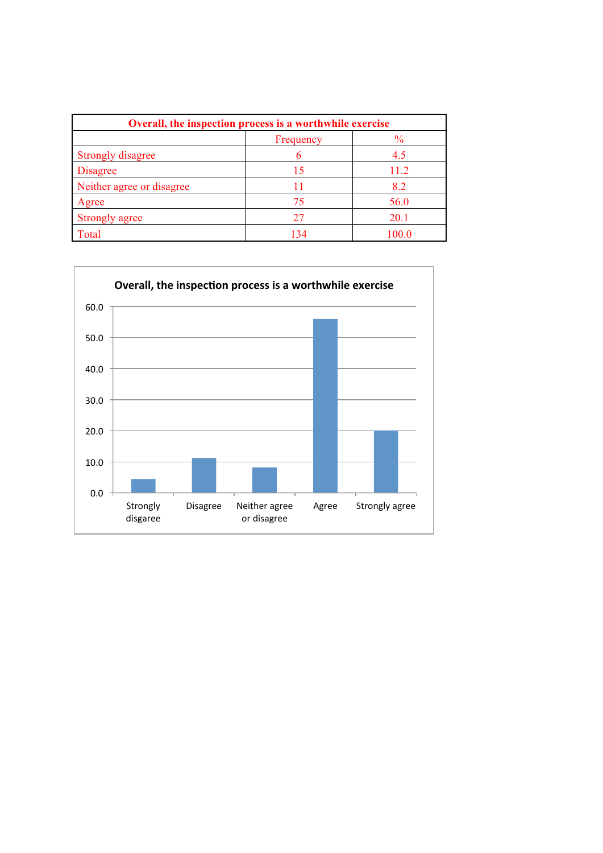| Overall, the inspection process is a worthwhile exercise |           |               |
|----------------------------------------------------------|-----------|---------------|
|                                                          | Frequency | $\frac{0}{0}$ |
| <b>Strongly disagree</b>                                 |           | 4.5           |
| <b>Disagree</b>                                          | 15        | 11.2          |
| Neither agree or disagree                                |           | 8.2           |
| Agree                                                    | 75        | 56.0          |
| Strongly agree                                           | 27        | 20.1          |
| Total                                                    | 134       | 100.0         |

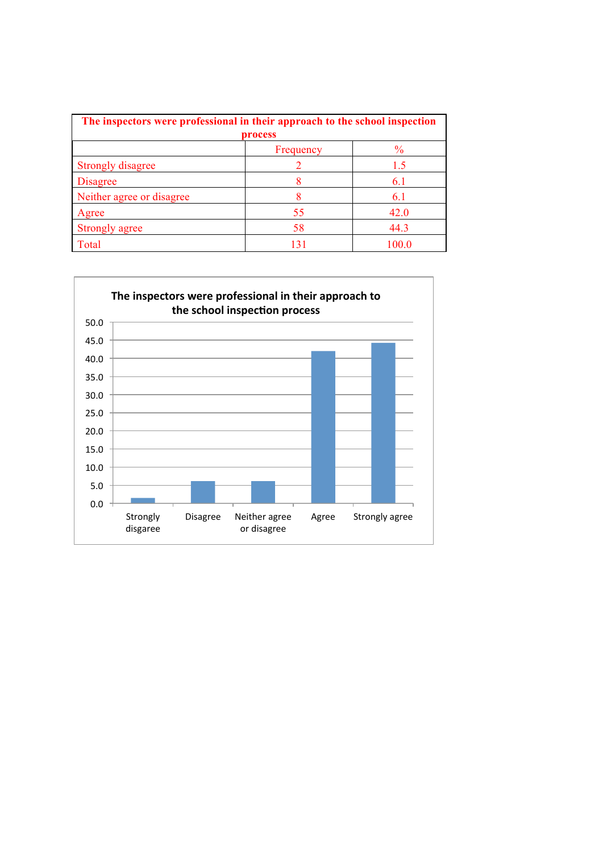| The inspectors were professional in their approach to the school inspection |           |               |
|-----------------------------------------------------------------------------|-----------|---------------|
|                                                                             | process   |               |
|                                                                             | Frequency | $\frac{6}{9}$ |
| <b>Strongly disagree</b>                                                    |           | 15            |
| <b>Disagree</b>                                                             |           | 6.1           |
| Neither agree or disagree                                                   | 8         | 6.1           |
| Agree                                                                       | 55        | 42.0          |
| <b>Strongly agree</b>                                                       | 58        | 44.3          |
| Total                                                                       | 131       | 100.0         |

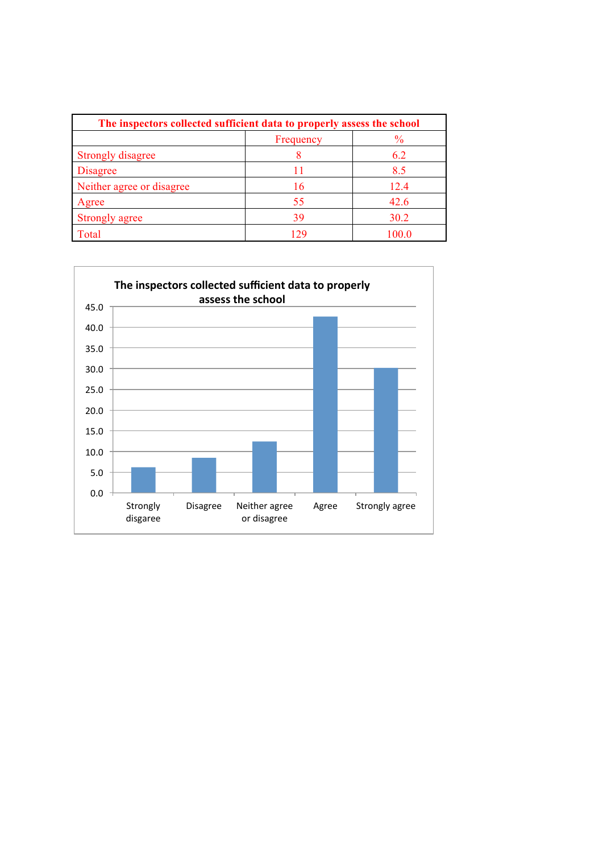| The inspectors collected sufficient data to properly assess the school |           |               |
|------------------------------------------------------------------------|-----------|---------------|
|                                                                        | Frequency | $\frac{0}{0}$ |
| <b>Strongly disagree</b>                                               |           | 6.2           |
| <b>Disagree</b>                                                        | 11        | 8.5           |
| Neither agree or disagree                                              | 16        | 12.4          |
| Agree                                                                  | 55        | 42.6          |
| Strongly agree                                                         | 39        | 30.2          |
| Total                                                                  | 129       | 100.0         |

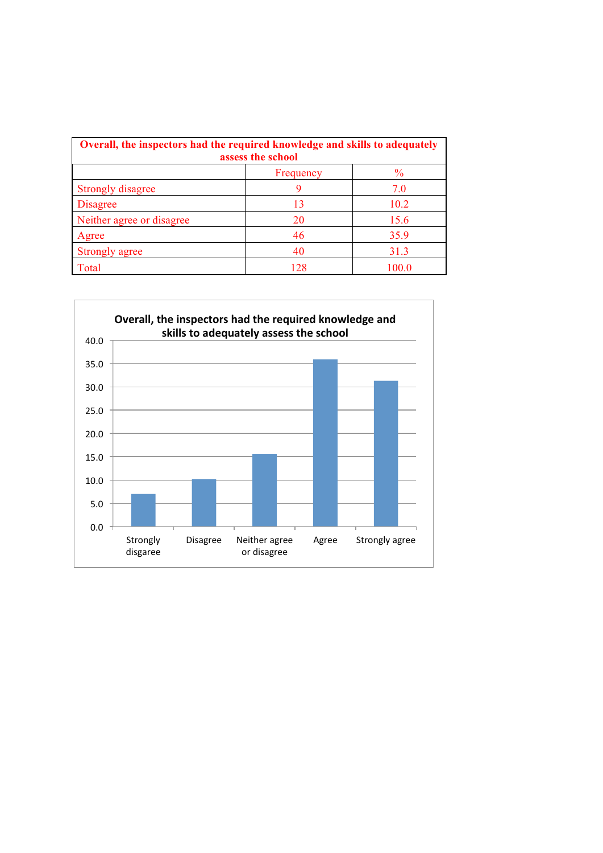| Overall, the inspectors had the required knowledge and skills to adequately<br>assess the school |           |       |
|--------------------------------------------------------------------------------------------------|-----------|-------|
|                                                                                                  | Frequency | $\%$  |
| Strongly disagree                                                                                | 9         | 7.0   |
| <b>Disagree</b>                                                                                  | 13        | 10.2  |
| Neither agree or disagree                                                                        | 20        | 15.6  |
| Agree                                                                                            | 46        | 35.9  |
| Strongly agree                                                                                   | 40        | 31.3  |
| Total                                                                                            | 128       | 100.0 |

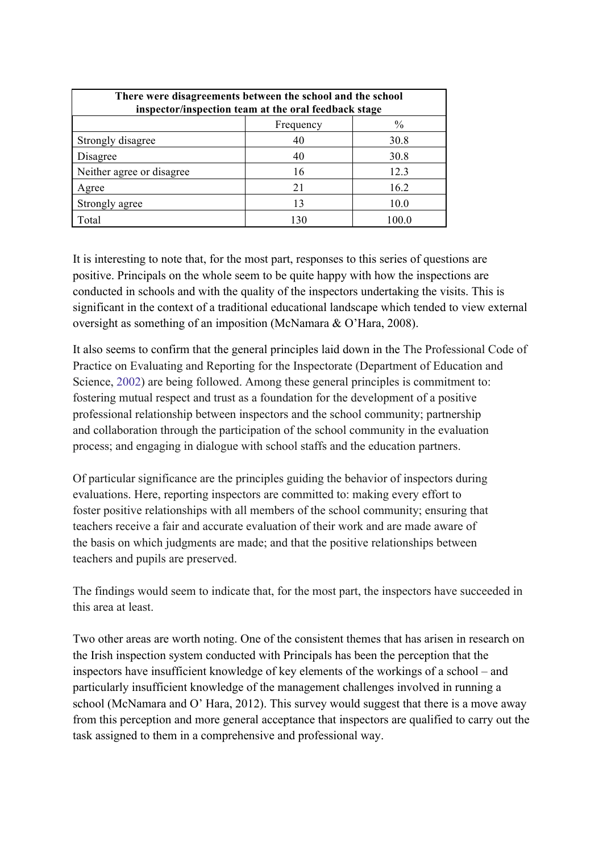| There were disagreements between the school and the school<br>inspector/inspection team at the oral feedback stage |           |       |
|--------------------------------------------------------------------------------------------------------------------|-----------|-------|
|                                                                                                                    | Frequency | $\%$  |
| Strongly disagree                                                                                                  | 40        | 30.8  |
| Disagree                                                                                                           | 40        | 30.8  |
| Neither agree or disagree                                                                                          | 16        | 12.3  |
| Agree                                                                                                              | 21        | 16.2  |
| Strongly agree                                                                                                     | 13        | 10.0  |
| Total                                                                                                              | 130       | 100.0 |

It is interesting to note that, for the most part, responses to this series of questions are positive. Principals on the whole seem to be quite happy with how the inspections are conducted in schools and with the quality of the inspectors undertaking the visits. This is significant in the context of a traditional educational landscape which tended to view external oversight as something of an imposition (McNamara & O'Hara, 2008).

It also seems to confirm that the general principles laid down in the The Professional Code of Practice on Evaluating and Reporting for the Inspectorate (Department of Education and Science, 2002) are being followed. Among these general principles is commitment to: fostering mutual respect and trust as a foundation for the development of a positive professional relationship between inspectors and the school community; partnership and collaboration through the participation of the school community in the evaluation process; and engaging in dialogue with school staffs and the education partners.

Of particular significance are the principles guiding the behavior of inspectors during evaluations. Here, reporting inspectors are committed to: making every effort to foster positive relationships with all members of the school community; ensuring that teachers receive a fair and accurate evaluation of their work and are made aware of the basis on which judgments are made; and that the positive relationships between teachers and pupils are preserved.

The findings would seem to indicate that, for the most part, the inspectors have succeeded in this area at least.

Two other areas are worth noting. One of the consistent themes that has arisen in research on the Irish inspection system conducted with Principals has been the perception that the inspectors have insufficient knowledge of key elements of the workings of a school – and particularly insufficient knowledge of the management challenges involved in running a school (McNamara and O' Hara, 2012). This survey would suggest that there is a move away from this perception and more general acceptance that inspectors are qualified to carry out the task assigned to them in a comprehensive and professional way.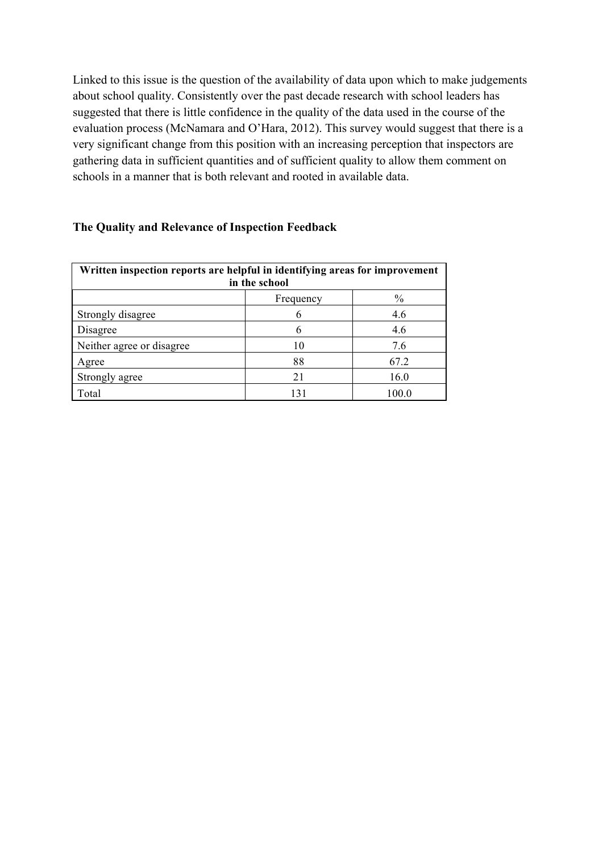Linked to this issue is the question of the availability of data upon which to make judgements about school quality. Consistently over the past decade research with school leaders has suggested that there is little confidence in the quality of the data used in the course of the evaluation process (McNamara and O'Hara, 2012). This survey would suggest that there is a very significant change from this position with an increasing perception that inspectors are gathering data in sufficient quantities and of sufficient quality to allow them comment on schools in a manner that is both relevant and rooted in available data.

## **The Quality and Relevance of Inspection Feedback**

| Written inspection reports are helpful in identifying areas for improvement<br>in the school |           |               |
|----------------------------------------------------------------------------------------------|-----------|---------------|
|                                                                                              | Frequency | $\frac{0}{0}$ |
| Strongly disagree                                                                            |           | 4.6           |
| Disagree                                                                                     |           | 4.6           |
| Neither agree or disagree                                                                    | 10        | 7.6           |
| Agree                                                                                        | 88        | 67.2          |
| Strongly agree                                                                               | 21        | 16.0          |
| Total                                                                                        | 131       | 100.0         |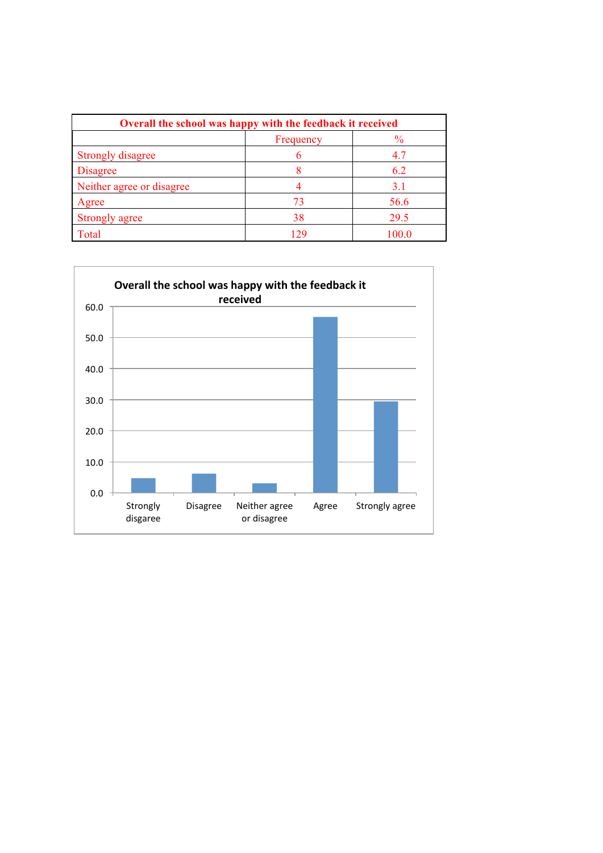| Overall the school was happy with the feedback it received |           |               |
|------------------------------------------------------------|-----------|---------------|
|                                                            | Frequency | $\frac{0}{0}$ |
| <b>Strongly disagree</b>                                   |           | 4.7           |
| <b>Disagree</b>                                            |           | 6.2           |
| Neither agree or disagree                                  |           | 3.1           |
| Agree                                                      | 73        | 56.6          |
| <b>Strongly agree</b>                                      | 38        | 29.5          |
| Total                                                      | 129       | 100.0         |

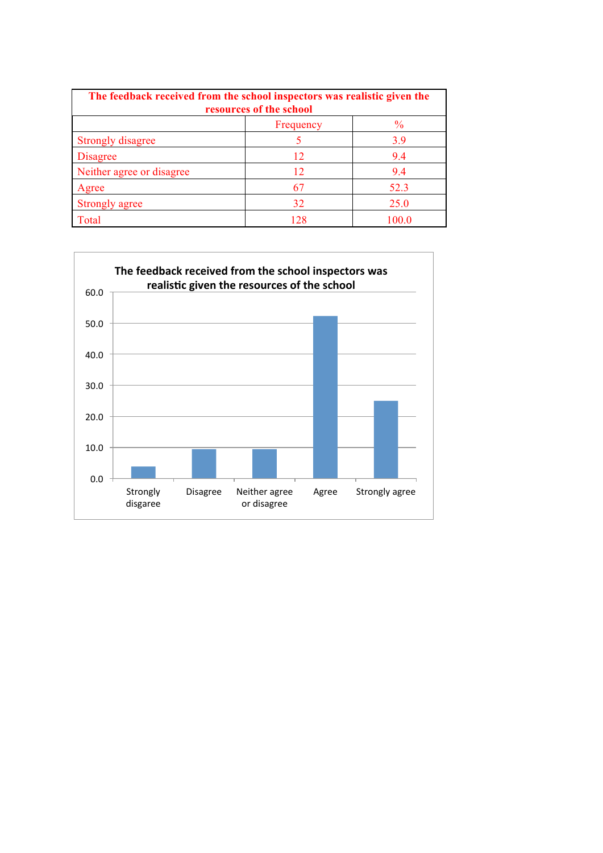| The feedback received from the school inspectors was realistic given the<br>resources of the school |           |               |
|-----------------------------------------------------------------------------------------------------|-----------|---------------|
|                                                                                                     | Frequency | $\frac{0}{0}$ |
| <b>Strongly disagree</b>                                                                            |           | 3.9           |
| <b>Disagree</b>                                                                                     | 12        | 9.4           |
| Neither agree or disagree                                                                           | 12        | 9.4           |
| Agree                                                                                               | 67        | 52.3          |
| Strongly agree                                                                                      | 32        | 25.0          |
| Total                                                                                               | 128       | 100.0         |

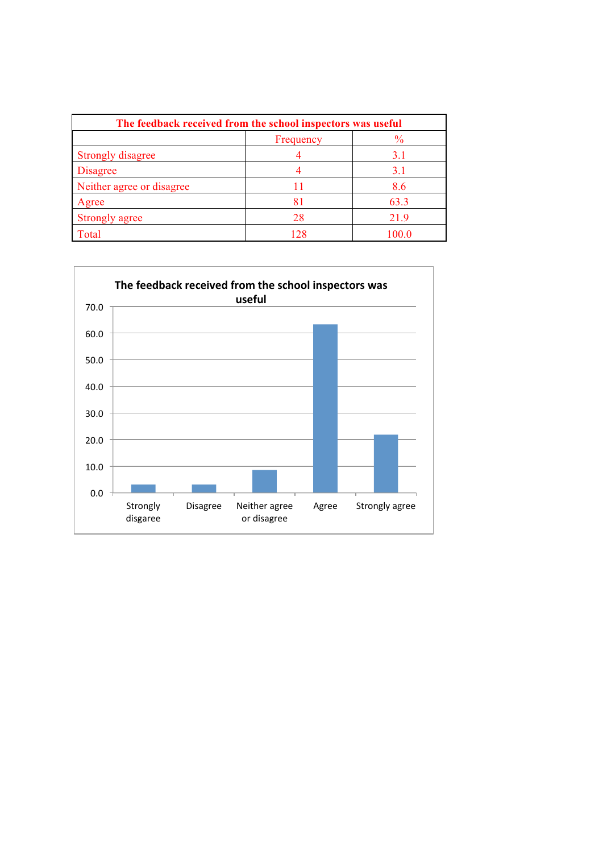| The feedback received from the school inspectors was useful |           |               |
|-------------------------------------------------------------|-----------|---------------|
|                                                             | Frequency | $\frac{6}{9}$ |
| <b>Strongly disagree</b>                                    |           | 3.1           |
| <b>Disagree</b>                                             |           | 3.1           |
| Neither agree or disagree                                   |           | 8.6           |
| Agree                                                       | 81        | 63.3          |
| <b>Strongly agree</b>                                       | 28        | 21.9          |
| Total                                                       | 128       | 100 0         |

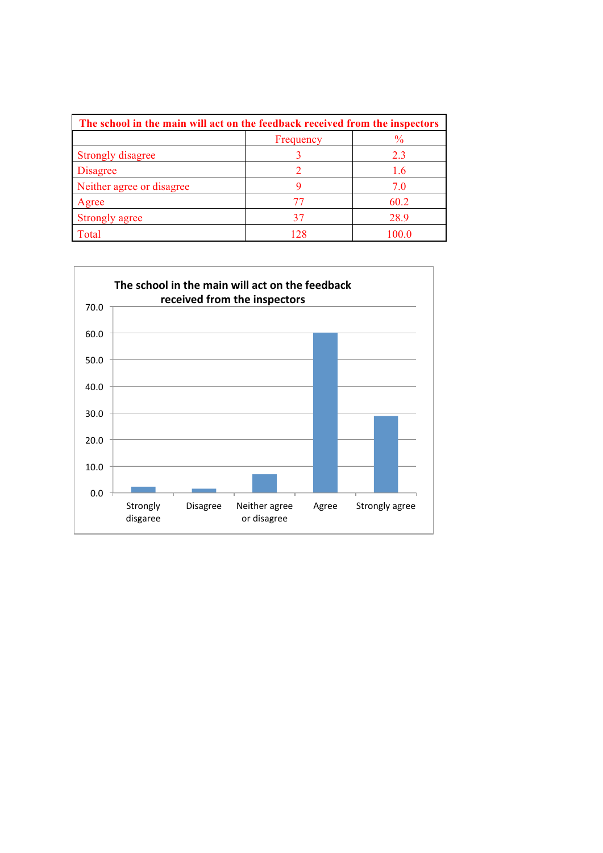| The school in the main will act on the feedback received from the inspectors |           |               |
|------------------------------------------------------------------------------|-----------|---------------|
|                                                                              | Frequency | $\frac{0}{0}$ |
| Strongly disagree                                                            |           | 23            |
| <b>Disagree</b>                                                              |           | 1.6           |
| Neither agree or disagree                                                    |           | 7.0           |
| Agree                                                                        |           | 60.2          |
| Strongly agree                                                               | 37        | 28.9          |
| Total                                                                        | 128       | 100 0         |

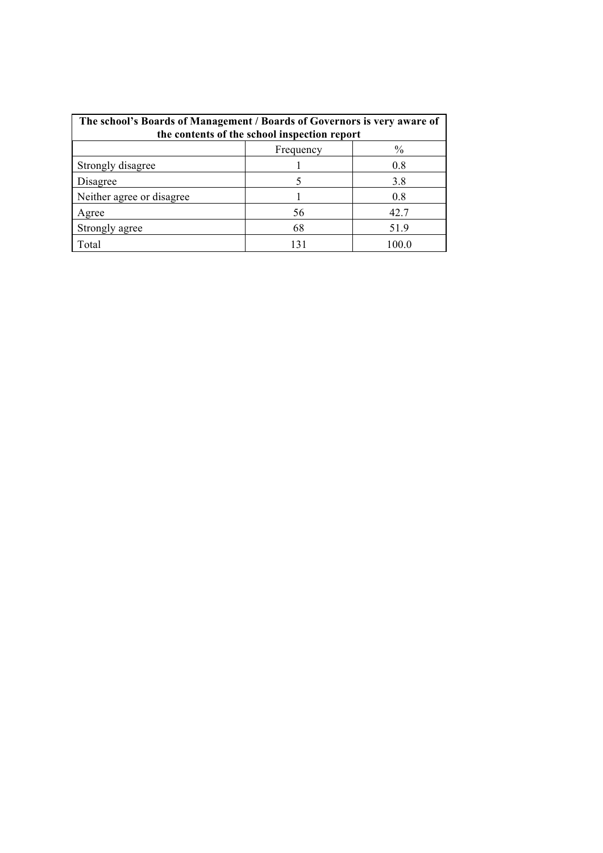| The school's Boards of Management / Boards of Governors is very aware of<br>the contents of the school inspection report |           |       |
|--------------------------------------------------------------------------------------------------------------------------|-----------|-------|
|                                                                                                                          | Frequency | $\%$  |
| Strongly disagree                                                                                                        |           | 0.8   |
| Disagree                                                                                                                 |           | 3.8   |
| Neither agree or disagree                                                                                                |           | 0.8   |
| Agree                                                                                                                    | 56        | 42.7  |
| Strongly agree                                                                                                           | 68        | 51.9  |
| Total                                                                                                                    |           | 100 0 |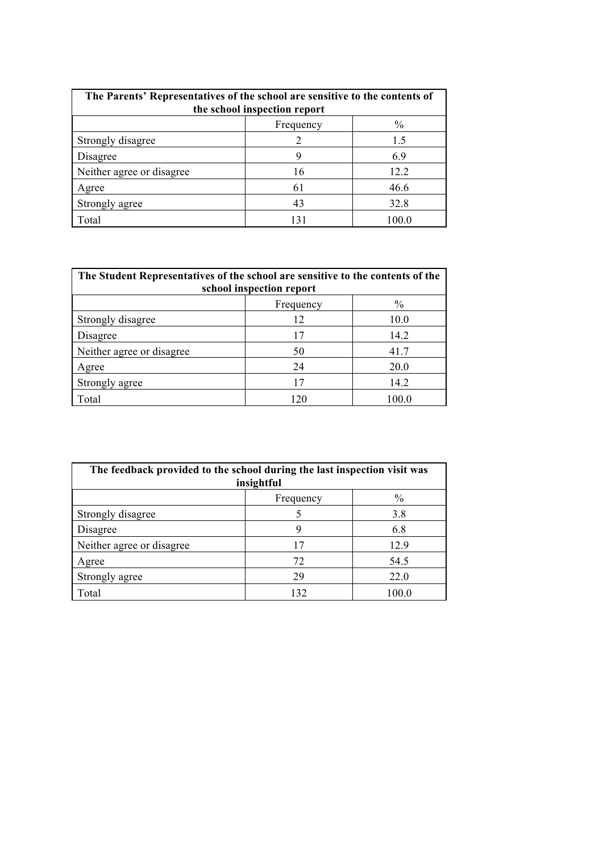| The Parents' Representatives of the school are sensitive to the contents of<br>the school inspection report |           |               |
|-------------------------------------------------------------------------------------------------------------|-----------|---------------|
|                                                                                                             | Frequency | $\frac{0}{0}$ |
| Strongly disagree                                                                                           |           | 1.5           |
| Disagree                                                                                                    | 9         | 6.9           |
| Neither agree or disagree                                                                                   | 16        | 12.2          |
| Agree                                                                                                       | 61        | 46.6          |
| Strongly agree                                                                                              | 43        | 32.8          |
| Total                                                                                                       | 131       | 100.0         |

| The Student Representatives of the school are sensitive to the contents of the<br>school inspection report |           |               |
|------------------------------------------------------------------------------------------------------------|-----------|---------------|
|                                                                                                            | Frequency | $\frac{0}{0}$ |
| Strongly disagree                                                                                          | 12        | 10.0          |
| Disagree                                                                                                   | 17        | 14.2          |
| Neither agree or disagree                                                                                  | 50        | 41.7          |
| Agree                                                                                                      | 24        | 20.0          |
| Strongly agree                                                                                             | 17        | 14.2          |
| Total                                                                                                      | 120       | 100 0         |

| The feedback provided to the school during the last inspection visit was<br>insightful |           |               |
|----------------------------------------------------------------------------------------|-----------|---------------|
|                                                                                        | Frequency | $\frac{0}{0}$ |
| Strongly disagree                                                                      |           | 3.8           |
| Disagree                                                                               | 9         | 6.8           |
| Neither agree or disagree                                                              | 17        | 12.9          |
| Agree                                                                                  | 72        | 54.5          |
| Strongly agree                                                                         | 29        | 22.0          |
| Total                                                                                  | 132       | 100 0         |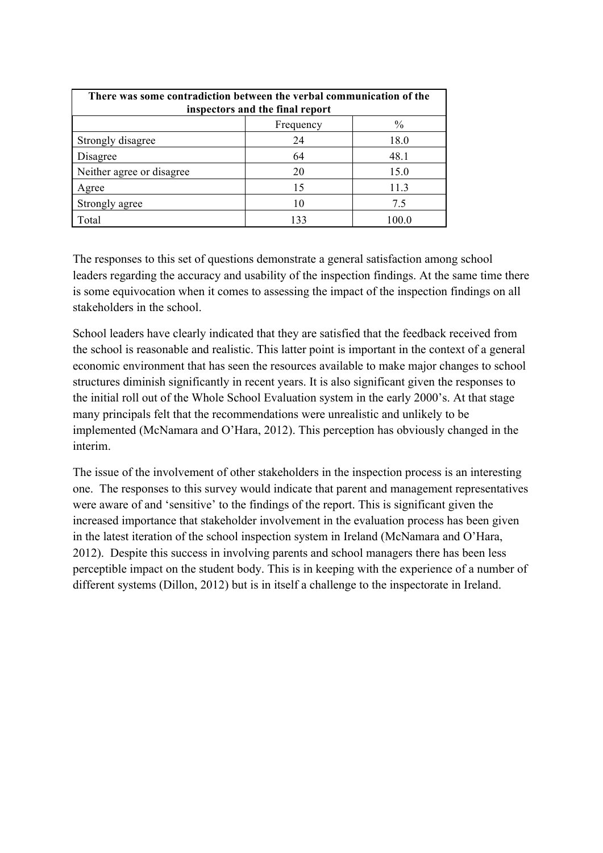| There was some contradiction between the verbal communication of the<br>inspectors and the final report |           |               |
|---------------------------------------------------------------------------------------------------------|-----------|---------------|
|                                                                                                         | Frequency | $\frac{0}{0}$ |
| Strongly disagree                                                                                       | 24        | 18.0          |
| Disagree                                                                                                | 64        | 48.1          |
| Neither agree or disagree                                                                               | 20        | 15.0          |
| Agree                                                                                                   | 15        | 11.3          |
| Strongly agree                                                                                          | 10        | 7.5           |
| Total                                                                                                   | 133       | 100.0         |

The responses to this set of questions demonstrate a general satisfaction among school leaders regarding the accuracy and usability of the inspection findings. At the same time there is some equivocation when it comes to assessing the impact of the inspection findings on all stakeholders in the school.

School leaders have clearly indicated that they are satisfied that the feedback received from the school is reasonable and realistic. This latter point is important in the context of a general economic environment that has seen the resources available to make major changes to school structures diminish significantly in recent years. It is also significant given the responses to the initial roll out of the Whole School Evaluation system in the early 2000's. At that stage many principals felt that the recommendations were unrealistic and unlikely to be implemented (McNamara and O'Hara, 2012). This perception has obviously changed in the interim.

The issue of the involvement of other stakeholders in the inspection process is an interesting one. The responses to this survey would indicate that parent and management representatives were aware of and 'sensitive' to the findings of the report. This is significant given the increased importance that stakeholder involvement in the evaluation process has been given in the latest iteration of the school inspection system in Ireland (McNamara and O'Hara, 2012). Despite this success in involving parents and school managers there has been less perceptible impact on the student body. This is in keeping with the experience of a number of different systems (Dillon, 2012) but is in itself a challenge to the inspectorate in Ireland.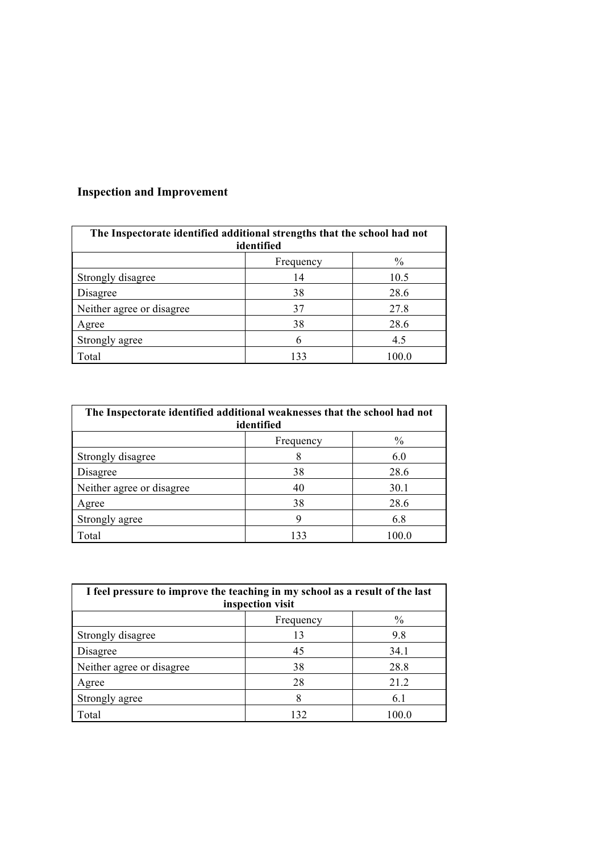# **Inspection and Improvement**

| The Inspectorate identified additional strengths that the school had not<br>identified |           |       |
|----------------------------------------------------------------------------------------|-----------|-------|
|                                                                                        | Frequency | $\%$  |
| Strongly disagree                                                                      | 14        | 10.5  |
| Disagree                                                                               | 38        | 28.6  |
| Neither agree or disagree                                                              | 37        | 27.8  |
| Agree                                                                                  | 38        | 28.6  |
| Strongly agree                                                                         | 6         | 4.5   |
| Total                                                                                  | 133       | 100.0 |

| The Inspectorate identified additional weaknesses that the school had not<br>identified |           |       |
|-----------------------------------------------------------------------------------------|-----------|-------|
|                                                                                         | Frequency | $\%$  |
| Strongly disagree                                                                       |           | 6.0   |
| Disagree                                                                                | 38        | 28.6  |
| Neither agree or disagree                                                               | 40        | 30.1  |
| Agree                                                                                   | 38        | 28.6  |
| Strongly agree                                                                          | 9         | 6.8   |
| Total                                                                                   | 133       | 100.0 |

| I feel pressure to improve the teaching in my school as a result of the last<br>inspection visit |           |               |
|--------------------------------------------------------------------------------------------------|-----------|---------------|
|                                                                                                  | Frequency | $\frac{0}{0}$ |
| Strongly disagree                                                                                | 13        | 9.8           |
| Disagree                                                                                         | 45        | 34.1          |
| Neither agree or disagree                                                                        | 38        | 28.8          |
| Agree                                                                                            | 28        | 21.2          |
| Strongly agree                                                                                   |           | 6.1           |
| Total                                                                                            | 132       | 100.0         |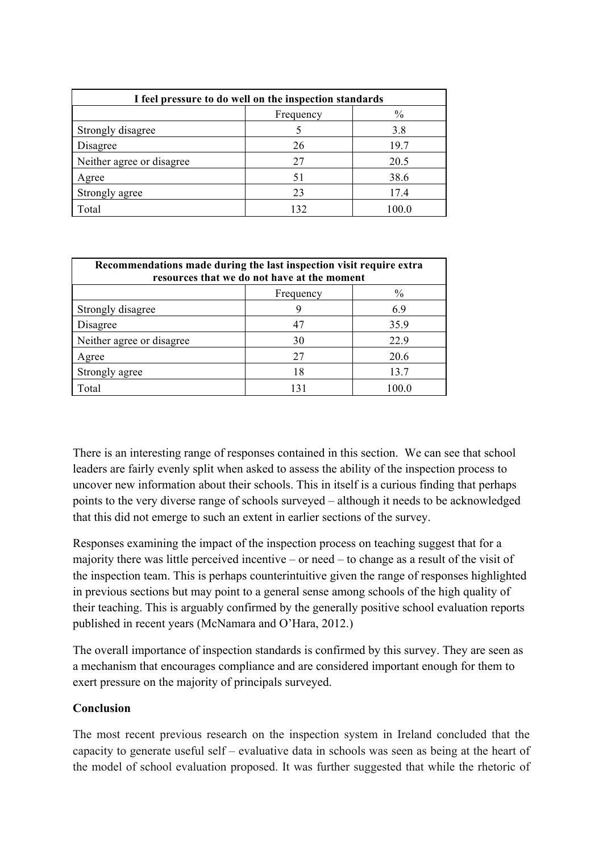| I feel pressure to do well on the inspection standards |           |       |
|--------------------------------------------------------|-----------|-------|
|                                                        | Frequency | $\%$  |
| Strongly disagree                                      |           | 3.8   |
| Disagree                                               | 26        | 19.7  |
| Neither agree or disagree                              | 27        | 20.5  |
| Agree                                                  | 51        | 38.6  |
| Strongly agree                                         | 23        | 17.4  |
| Total                                                  | 132       | 100.0 |

| Recommendations made during the last inspection visit require extra<br>resources that we do not have at the moment |           |               |
|--------------------------------------------------------------------------------------------------------------------|-----------|---------------|
|                                                                                                                    | Frequency | $\frac{0}{0}$ |
| Strongly disagree                                                                                                  | 9         | 6.9           |
| Disagree                                                                                                           | -47       | 35.9          |
| Neither agree or disagree                                                                                          | 30        | 22.9          |
| Agree                                                                                                              | 27        | 20.6          |
| Strongly agree                                                                                                     | 18        | 13.7          |
| Total                                                                                                              | 131       | 100.0         |

There is an interesting range of responses contained in this section. We can see that school leaders are fairly evenly split when asked to assess the ability of the inspection process to uncover new information about their schools. This in itself is a curious finding that perhaps points to the very diverse range of schools surveyed – although it needs to be acknowledged that this did not emerge to such an extent in earlier sections of the survey.

Responses examining the impact of the inspection process on teaching suggest that for a majority there was little perceived incentive – or need – to change as a result of the visit of the inspection team. This is perhaps counterintuitive given the range of responses highlighted in previous sections but may point to a general sense among schools of the high quality of their teaching. This is arguably confirmed by the generally positive school evaluation reports published in recent years (McNamara and O'Hara, 2012.)

The overall importance of inspection standards is confirmed by this survey. They are seen as a mechanism that encourages compliance and are considered important enough for them to exert pressure on the majority of principals surveyed.

#### **Conclusion**

The most recent previous research on the inspection system in Ireland concluded that the capacity to generate useful self – evaluative data in schools was seen as being at the heart of the model of school evaluation proposed. It was further suggested that while the rhetoric of